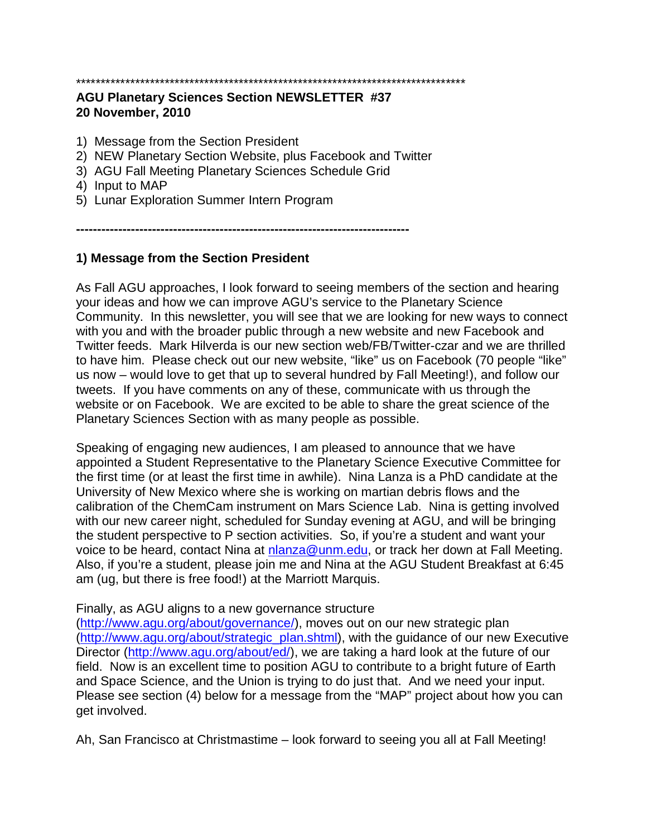# \*\*\*\*\*\*\*\*\*\*\*\*\*\*\*\*\*\*\*\*\*\*\*\*\*\*\*\*\*\*\*\*\*\*\*\*\*\*\*\*\*\*\*\*\*\*\*\*\*\*\*\*\*\*\*\*\*\*\*\*\*\*\*\*\*\*\*\*\*\*\*\*\*\*\*\*\*\*\*

#### **AGU Planetary Sciences Section NEWSLETTER #37 20 November, 2010**

- 1) Message from the Section President
- 2) NEW Planetary Section Website, plus Facebook and Twitter
- 3) AGU Fall Meeting Planetary Sciences Schedule Grid
- 4) Input to MAP
- 5) Lunar Exploration Summer Intern Program

**-------------------------------------------------------------------------------**

### **1) Message from the Section President**

As Fall AGU approaches, I look forward to seeing members of the section and hearing your ideas and how we can improve AGU's service to the Planetary Science Community. In this newsletter, you will see that we are looking for new ways to connect with you and with the broader public through a new website and new Facebook and Twitter feeds. Mark Hilverda is our new section web/FB/Twitter-czar and we are thrilled to have him. Please check out our new website, "like" us on Facebook (70 people "like" us now – would love to get that up to several hundred by Fall Meeting!), and follow our tweets. If you have comments on any of these, communicate with us through the website or on Facebook. We are excited to be able to share the great science of the Planetary Sciences Section with as many people as possible.

Speaking of engaging new audiences, I am pleased to announce that we have appointed a Student Representative to the Planetary Science Executive Committee for the first time (or at least the first time in awhile). Nina Lanza is a PhD candidate at the University of New Mexico where she is working on martian debris flows and the calibration of the ChemCam instrument on Mars Science Lab. Nina is getting involved with our new career night, scheduled for Sunday evening at AGU, and will be bringing the student perspective to P section activities. So, if you're a student and want your voice to be heard, contact Nina at [nlanza@unm.edu,](mailto:nlanza@unm.edu) or track her down at Fall Meeting. Also, if you're a student, please join me and Nina at the AGU Student Breakfast at 6:45 am (ug, but there is free food!) at the Marriott Marquis.

#### Finally, as AGU aligns to a new governance structure

[\(http://www.agu.org/about/governance/\)](http://www.agu.org/about/governance/), moves out on our new strategic plan [\(http://www.agu.org/about/strategic\\_plan.shtml\)](http://www.agu.org/about/strategic_plan.shtml), with the guidance of our new Executive Director [\(http://www.agu.org/about/ed/\)](http://www.agu.org/about/ed/), we are taking a hard look at the future of our field. Now is an excellent time to position AGU to contribute to a bright future of Earth and Space Science, and the Union is trying to do just that. And we need your input. Please see section (4) below for a message from the "MAP" project about how you can get involved.

Ah, San Francisco at Christmastime – look forward to seeing you all at Fall Meeting!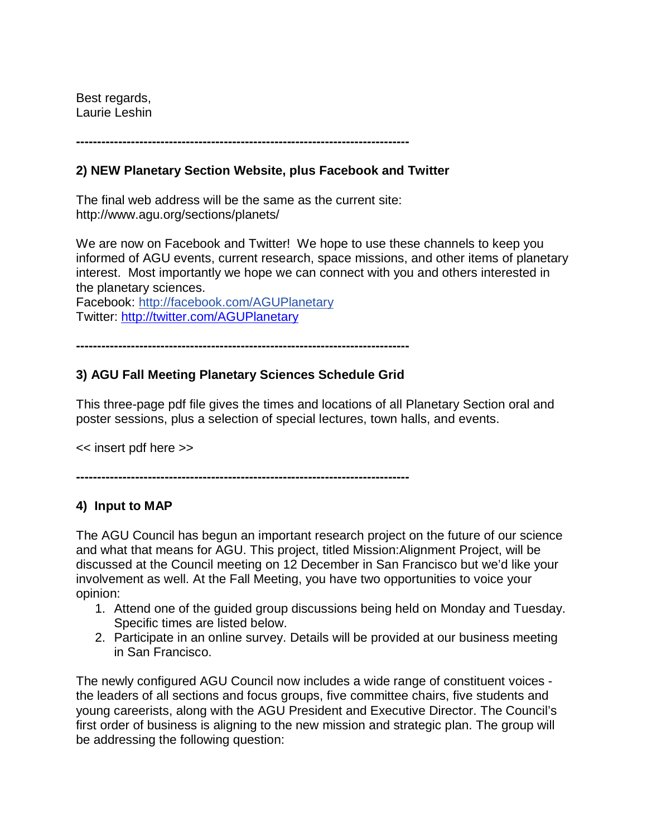Best regards, Laurie Leshin

**-------------------------------------------------------------------------------**

### **2) NEW Planetary Section Website, plus Facebook and Twitter**

The final web address will be the same as the current site: http://www.agu.org/sections/planets/

We are now on Facebook and Twitter! We hope to use these channels to keep you informed of AGU events, current research, space missions, and other items of planetary interest. Most importantly we hope we can connect with you and others interested in the planetary sciences.

Facebook: http://facebook.com/AGUPlanetary Twitter:<http://twitter.com/AGUPlanetary>

**-------------------------------------------------------------------------------**

# **3) AGU Fall Meeting Planetary Sciences Schedule Grid**

This three-page pdf file gives the times and locations of all Planetary Section oral and poster sessions, plus a selection of special lectures, town halls, and events.

<< insert pdf here >>

**-------------------------------------------------------------------------------**

# **4) Input to MAP**

The AGU Council has begun an important research project on the future of our science and what that means for AGU. This project, titled Mission:Alignment Project, will be discussed at the Council meeting on 12 December in San Francisco but we'd like your involvement as well. At the Fall Meeting, you have two opportunities to voice your opinion:

- 1. Attend one of the guided group discussions being held on Monday and Tuesday. Specific times are listed below.
- 2. Participate in an online survey. Details will be provided at our business meeting in San Francisco.

The newly configured AGU Council now includes a wide range of constituent voices the leaders of all sections and focus groups, five committee chairs, five students and young careerists, along with the AGU President and Executive Director. The Council's first order of business is aligning to the new mission and strategic plan. The group will be addressing the following question: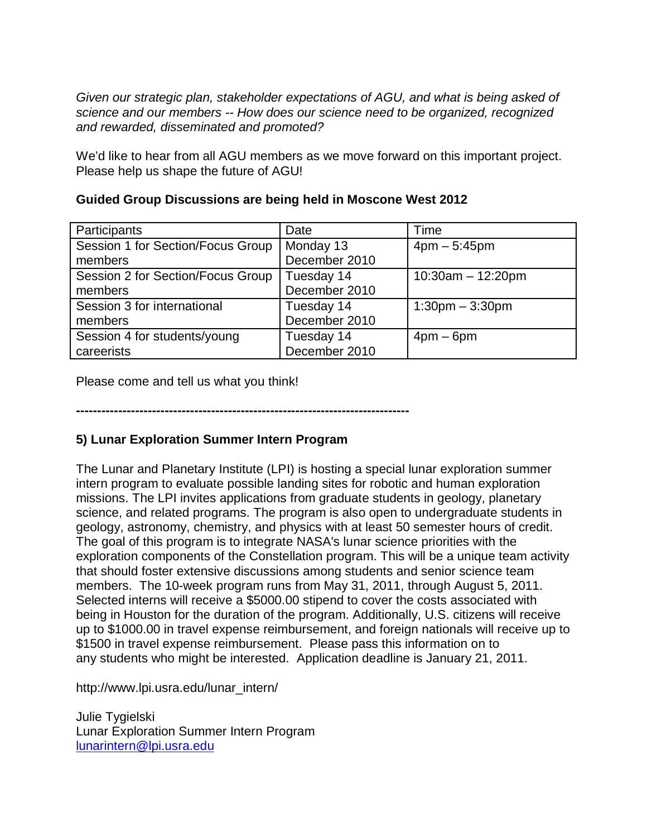*Given our strategic plan, stakeholder expectations of AGU, and what is being asked of science and our members -- How does our science need to be organized, recognized and rewarded, disseminated and promoted?*

We'd like to hear from all AGU members as we move forward on this important project. Please help us shape the future of AGU!

| Participants                      | Date          | Time                 |
|-----------------------------------|---------------|----------------------|
| Session 1 for Section/Focus Group | Monday 13     | $4pm - 5:45pm$       |
| members                           | December 2010 |                      |
| Session 2 for Section/Focus Group | Tuesday 14    | $10:30am - 12:20pm$  |
| members                           | December 2010 |                      |
| Session 3 for international       | Tuesday 14    | $1:30$ pm $-3:30$ pm |
| members                           | December 2010 |                      |
| Session 4 for students/young      | Tuesday 14    | $4$ pm – 6pm         |
| careerists                        | December 2010 |                      |
|                                   |               |                      |

# **Guided Group Discussions are being held in Moscone West 2012**

Please come and tell us what you think!

**-------------------------------------------------------------------------------**

# **5) Lunar Exploration Summer Intern Program**

The Lunar and Planetary Institute (LPI) is hosting a special lunar exploration summer intern program to evaluate possible landing sites for robotic and human exploration missions. The LPI invites applications from graduate students in geology, planetary science, and related programs. The program is also open to undergraduate students in geology, astronomy, chemistry, and physics with at least 50 semester hours of credit. The goal of this program is to integrate NASA's lunar science priorities with the exploration components of the Constellation program. This will be a unique team activity that should foster extensive discussions among students and senior science team members. The 10-week program runs from May 31, 2011, through August 5, 2011. Selected interns will receive a \$5000.00 stipend to cover the costs associated with being in Houston for the duration of the program. Additionally, U.S. citizens will receive up to \$1000.00 in travel expense reimbursement, and foreign nationals will receive up to \$1500 in travel expense reimbursement. Please pass this information on to any students who might be interested. Application deadline is January 21, 2011.

http://www.lpi.usra.edu/lunar\_intern/

Julie Tygielski Lunar Exploration Summer Intern Program [lunarintern@lpi.usra.edu](mailto:lunarintern@lpi.usra.edu)